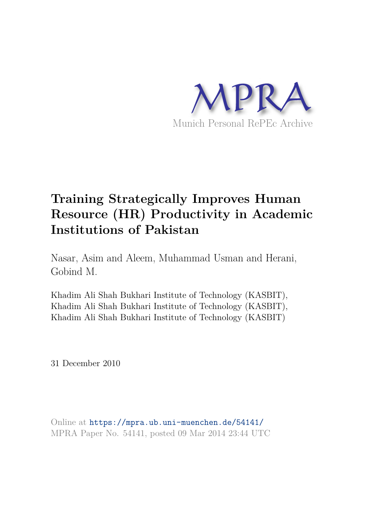

# **Training Strategically Improves Human Resource (HR) Productivity in Academic Institutions of Pakistan**

Nasar, Asim and Aleem, Muhammad Usman and Herani, Gobind M.

Khadim Ali Shah Bukhari Institute of Technology (KASBIT), Khadim Ali Shah Bukhari Institute of Technology (KASBIT), Khadim Ali Shah Bukhari Institute of Technology (KASBIT)

31 December 2010

Online at https://mpra.ub.uni-muenchen.de/54141/ MPRA Paper No. 54141, posted 09 Mar 2014 23:44 UTC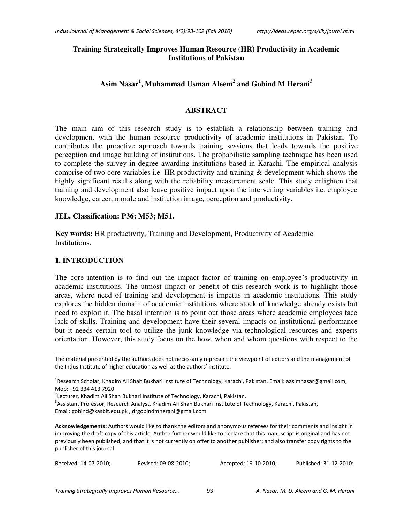#### **Training Strategically Improves Human Resource (HR) Productivity in Academic Institutions of Pakistan**

# **Asim Nasar<sup>1</sup> , Muhammad Usman Aleem<sup>2</sup> and Gobind M Herani<sup>3</sup>**

#### **ABSTRACT**

The main aim of this research study is to establish a relationship between training and development with the human resource productivity of academic institutions in Pakistan. To contributes the proactive approach towards training sessions that leads towards the positive perception and image building of institutions. The probabilistic sampling technique has been used to complete the survey in degree awarding institutions based in Karachi. The empirical analysis comprise of two core variables i.e. HR productivity and training & development which shows the highly significant results along with the reliability measurement scale. This study enlighten that training and development also leave positive impact upon the intervening variables i.e. employee knowledge, career, morale and institution image, perception and productivity.

#### **JEL. Classification: P36; M53; M51.**

**Key words:** HR productivity, Training and Development, Productivity of Academic Institutions.

#### **1. INTRODUCTION**

The core intention is to find out the impact factor of training on employee's productivity in academic institutions. The utmost impact or benefit of this research work is to highlight those areas, where need of training and development is impetus in academic institutions. This study explores the hidden domain of academic institutions where stock of knowledge already exists but need to exploit it. The basal intention is to point out those areas where academic employees face lack of skills. Training and development have their several impacts on institutional performance but it needs certain tool to utilize the junk knowledge via technological resources and experts orientation. However, this study focus on the how, when and whom questions with respect to the

l

The material presented by the authors does not necessarily represent the viewpoint of editors and the management of the Indus Institute of higher education as well as the authors' institute.

<sup>&</sup>lt;sup>1</sup>Research Scholar, Khadim Ali Shah Bukhari Institute of Technology, Karachi, Pakistan, Email: aasimnasar@gmail.com, Mob: +92 334 413 7920

<sup>&</sup>lt;sup>2</sup>Lecturer, Khadim Ali Shah Bukhari Institute of Technology, Karachi, Pakistan.

<sup>&</sup>lt;sup>3</sup>Assistant Professor, Research Analyst, Khadim Ali Shah Bukhari Institute of Technology, Karachi, Pakistan,

Email: gobind@kasbit.edu.pk , drgobindmherani@gmail.com

**Acknowledgements:** Authors would like to thank the editors and anonymous referees for their comments and insight in improving the draft copy of this article. Author further would like to declare that this manuscript is original and has not previously been published, and that it is not currently on offer to another publisher; and also transfer copy rights to the publisher of this journal.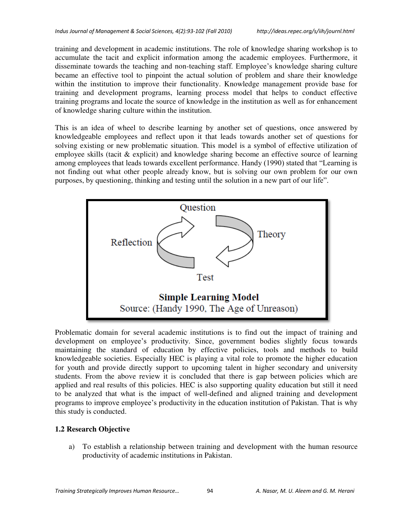training and development in academic institutions. The role of knowledge sharing workshop is to accumulate the tacit and explicit information among the academic employees. Furthermore, it disseminate towards the teaching and non-teaching staff. Employee's knowledge sharing culture became an effective tool to pinpoint the actual solution of problem and share their knowledge within the institution to improve their functionality. Knowledge management provide base for training and development programs, learning process model that helps to conduct effective training programs and locate the source of knowledge in the institution as well as for enhancement of knowledge sharing culture within the institution.

This is an idea of wheel to describe learning by another set of questions, once answered by knowledgeable employees and reflect upon it that leads towards another set of questions for solving existing or new problematic situation. This model is a symbol of effective utilization of employee skills (tacit & explicit) and knowledge sharing become an effective source of learning among employees that leads towards excellent performance. Handy (1990) stated that "Learning is not finding out what other people already know, but is solving our own problem for our own purposes, by questioning, thinking and testing until the solution in a new part of our life".



Problematic domain for several academic institutions is to find out the impact of training and development on employee's productivity. Since, government bodies slightly focus towards maintaining the standard of education by effective policies, tools and methods to build knowledgeable societies. Especially HEC is playing a vital role to promote the higher education for youth and provide directly support to upcoming talent in higher secondary and university students. From the above review it is concluded that there is gap between policies which are applied and real results of this policies. HEC is also supporting quality education but still it need to be analyzed that what is the impact of well-defined and aligned training and development programs to improve employee's productivity in the education institution of Pakistan. That is why this study is conducted.

# **1.2 Research Objective**

a) To establish a relationship between training and development with the human resource productivity of academic institutions in Pakistan.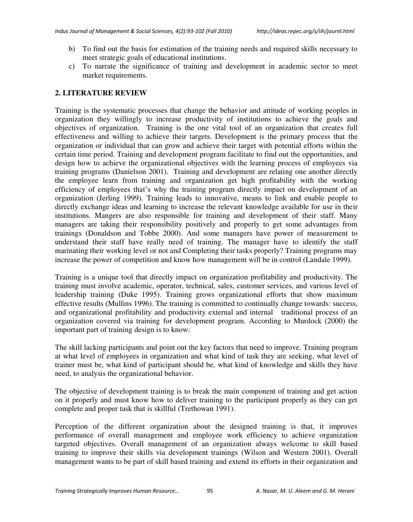- b) To find out the basis for estimation of the training needs and required skills necessary to meet strategic goals of educational institutions.
- c) To narrate the significance of training and development in academic sector to meet market requirements.

## **2. LITERATURE REVIEW**

Training is the systematic processes that change the behavior and attitude of working peoples in organization they willingly to increase productivity of institutions to achieve the goals and objectives of organization. Training is the one vital tool of an organization that creates full effectiveness and willing to achieve their targets. Development is the primary process that the organization or individual that can grow and achieve their target with potential efforts within the certain time period. Training and development program facilitate to find out the opportunities, and design how to achieve the organizational objectives with the learning process of employees via training programs (Danielson 2001). Training and development are relating one another directly the employee learn from training and organization get high profitability with the working efficiency of employees that's why the training program directly impact on development of an organization (Jerling 1999). Training leads to innovative, means to link and enable people to directly exchange ideas and learning to increase the relevant knowledge available for use in their institutions. Mangers are also responsible for training and development of their staff. Many managers are taking their responsibility positively and properly to get some advantages from trainings (Donaldson and Tobbe 2000). And some managers have power of measurement to understand their staff have really need of training. The manager have to identify the staff marinating their working level or not and Completing their tasks properly? Training programs may increase the power of competition and know how management will be in control (Landale 1999).

Training is a unique tool that directly impact on organization profitability and productivity. The training must involve academic, operator, technical, sales, customer services, and various level of leadership training (Duke 1995). Training grows organizational efforts that show maximum effective results (Mullins 1996). The training is committed to continually change towards: success, and organizational profitability and productivity external and internal traditional process of an organization covered via training for development program. According to Murdock (2000) the important part of training design is to know:

The skill lacking participants and point out the key factors that need to improve. Training program at what level of employees in organization and what kind of task they are seeking, what level of trainer must be, what kind of participant should be, what kind of knowledge and skills they have need, to analysis the organizational behavior.

The objective of development training is to break the main component of training and get action on it properly and must know how to deliver training to the participant properly as they can get complete and proper task that is skillful (Trethowan 1991).

Perception of the different organization about the designed training is that, it improves performance of overall management and employee work efficiency to achieve organization targeted objectives. Overall management of an organization always welcome to skill based training to improve their skills via development trainings (Wilson and Western 2001). Overall management wants to be part of skill based training and extend its efforts in their organization and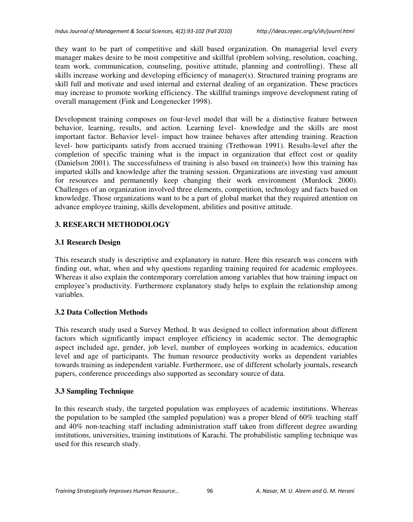they want to be part of competitive and skill based organization. On managerial level every manager makes desire to be most competitive and skillful (problem solving, resolution, coaching, team work, communication, counseling, positive attitude, planning and controlling). These all skills increase working and developing efficiency of manager(s). Structured training programs are skill full and motivate and used internal and external dealing of an organization. These practices may increase to promote working efficiency. The skillful trainings improve development rating of overall management (Fink and Longenecker 1998).

Development training composes on four-level model that will be a distinctive feature between behavior, learning, results, and action. Learning level- knowledge and the skills are most important factor. Behavior level- impact how trainee behaves after attending training. Reaction level- how participants satisfy from accrued training (Trethowan 1991). Results-level after the completion of specific training what is the impact in organization that effect cost or quality (Danielson 2001). The successfulness of training is also based on trainee(s) how this training has imparted skills and knowledge after the training session. Organizations are investing vast amount for resources and permanently keep changing their work environment (Murdock 2000). Challenges of an organization involved three elements, competition, technology and facts based on knowledge. Those organizations want to be a part of global market that they required attention on advance employee training, skills development, abilities and positive attitude.

# **3. RESEARCH METHODOLOGY**

# **3.1 Research Design**

This research study is descriptive and explanatory in nature. Here this research was concern with finding out, what, when and why questions regarding training required for academic employees. Whereas it also explain the contemporary correlation among variables that how training impact on employee's productivity. Furthermore explanatory study helps to explain the relationship among variables.

# **3.2 Data Collection Methods**

This research study used a Survey Method. It was designed to collect information about different factors which significantly impact employee efficiency in academic sector. The demographic aspect included age, gender, job level, number of employees working in academics, education level and age of participants. The human resource productivity works as dependent variables towards training as independent variable. Furthermore, use of different scholarly journals, research papers, conference proceedings also supported as secondary source of data.

# **3.3 Sampling Technique**

In this research study, the targeted population was employees of academic institutions. Whereas the population to be sampled (the sampled population) was a proper blend of 60% teaching staff and 40% non-teaching staff including administration staff taken from different degree awarding institutions, universities, training institutions of Karachi. The probabilistic sampling technique was used for this research study.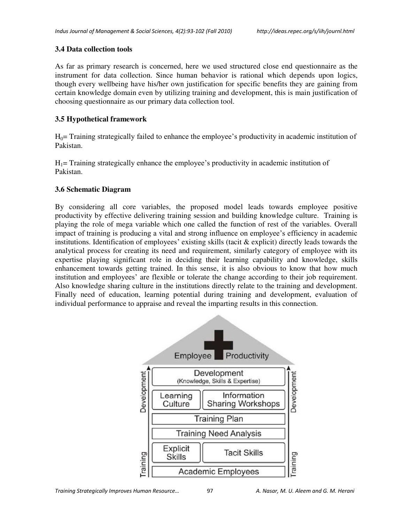#### **3.4 Data collection tools**

As far as primary research is concerned, here we used structured close end questionnaire as the instrument for data collection. Since human behavior is rational which depends upon logics, though every wellbeing have his/her own justification for specific benefits they are gaining from certain knowledge domain even by utilizing training and development, this is main justification of choosing questionnaire as our primary data collection tool.

## **3.5 Hypothetical framework**

 $H<sub>0</sub>=$  Training strategically failed to enhance the employee's productivity in academic institution of Pakistan.

 $H_1$ = Training strategically enhance the employee's productivity in academic institution of Pakistan.

#### **3.6 Schematic Diagram**

By considering all core variables, the proposed model leads towards employee positive productivity by effective delivering training session and building knowledge culture. Training is playing the role of mega variable which one called the function of rest of the variables. Overall impact of training is producing a vital and strong influence on employee's efficiency in academic institutions. Identification of employees' existing skills (tacit & explicit) directly leads towards the analytical process for creating its need and requirement, similarly category of employee with its expertise playing significant role in deciding their learning capability and knowledge, skills enhancement towards getting trained. In this sense, it is also obvious to know that how much institution and employees' are flexible or tolerate the change according to their job requirement. Also knowledge sharing culture in the institutions directly relate to the training and development. Finally need of education, learning potential during training and development, evaluation of individual performance to appraise and reveal the imparting results in this connection.

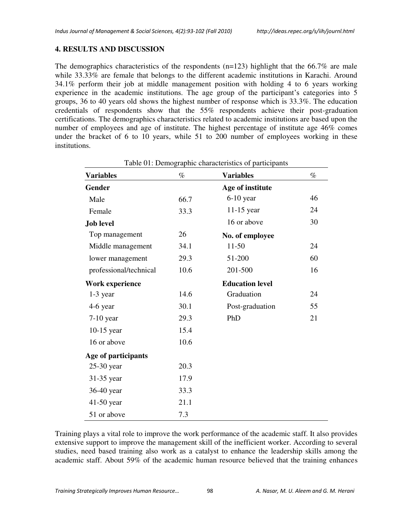## **4. RESULTS AND DISCUSSION**

The demographics characteristics of the respondents  $(n=123)$  highlight that the 66.7% are male while 33.33% are female that belongs to the different academic institutions in Karachi. Around 34.1% perform their job at middle management position with holding 4 to 6 years working experience in the academic institutions. The age group of the participant's categories into 5 groups, 36 to 40 years old shows the highest number of response which is 33.3%. The education credentials of respondents show that the 55% respondents achieve their post-graduation certifications. The demographics characteristics related to academic institutions are based upon the number of employees and age of institute. The highest percentage of institute age 46% comes under the bracket of 6 to 10 years, while 51 to 200 number of employees working in these institutions.

| <b>Variables</b>       | $\%$ | Table 01: Demographic characteristics of participants<br><b>Variables</b> | $\%$ |
|------------------------|------|---------------------------------------------------------------------------|------|
|                        |      |                                                                           |      |
| Gender                 |      | Age of institute                                                          |      |
| Male                   | 66.7 | $6-10$ year                                                               | 46   |
| Female                 | 33.3 | $11-15$ year                                                              | 24   |
| <b>Job level</b>       |      | 16 or above                                                               | 30   |
| Top management         | 26   | No. of employee                                                           |      |
| Middle management      | 34.1 | $11 - 50$                                                                 | 24   |
| lower management       | 29.3 | 51-200                                                                    | 60   |
| professional/technical | 10.6 | 201-500                                                                   | 16   |
| Work experience        |      | <b>Education level</b>                                                    |      |
| $1-3$ year             | 14.6 | Graduation                                                                | 24   |
| 4-6 year               | 30.1 | Post-graduation                                                           | 55   |
| 7-10 year              | 29.3 | PhD                                                                       | 21   |
| $10-15$ year           | 15.4 |                                                                           |      |
| 16 or above            | 10.6 |                                                                           |      |
| Age of participants    |      |                                                                           |      |
| 25-30 year             | 20.3 |                                                                           |      |
| 31-35 year             | 17.9 |                                                                           |      |
| 36-40 year             | 33.3 |                                                                           |      |
| 41-50 year             | 21.1 |                                                                           |      |
| 51 or above            | 7.3  |                                                                           |      |

Training plays a vital role to improve the work performance of the academic staff. It also provides extensive support to improve the management skill of the inefficient worker. According to several studies, need based training also work as a catalyst to enhance the leadership skills among the academic staff. About 59% of the academic human resource believed that the training enhances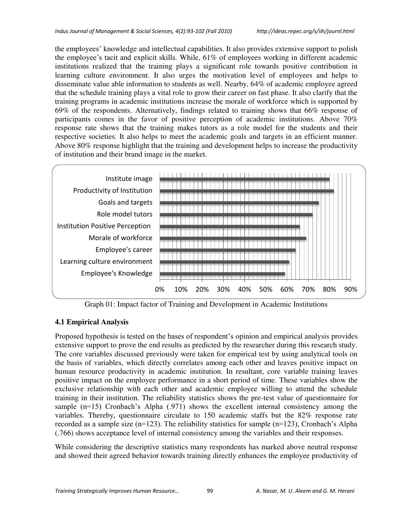the employees' knowledge and intellectual capabilities. It also provides extensive support to polish the employee's tacit and explicit skills. While, 61% of employees working in different academic institutions realized that the training plays a significant role towards positive contribution in learning culture environment. It also urges the motivation level of employees and helps to disseminate value able information to students as well. Nearby, 64% of academic employee agreed that the schedule training plays a vital role to grow their career on fast phase. It also clarify that the training programs in academic institutions increase the morale of workforce which is supported by 69% of the respondents. Alternatively, findings related to training shows that 66% response of participants comes in the favor of positive perception of academic institutions. Above 70% response rate shows that the training makes tutors as a role model for the students and their respective societies. It also helps to meet the academic goals and targets in an efficient manner. Above 80% response highlight that the training and development helps to increase the productivity of institution and their brand image in the market.



Graph 01: Impact factor of Training and Development in Academic Institutions

# **4.1 Empirical Analysis**

Proposed hypothesis is tested on the bases of respondent's opinion and empirical analysis provides extensive support to prove the end results as predicted by the researcher during this research study. The core variables discussed previously were taken for empirical test by using analytical tools on the basis of variables, which directly correlates among each other and leaves positive impact on human resource productivity in academic institution. In resultant, core variable training leaves positive impact on the employee performance in a short period of time. These variables show the exclusive relationship with each other and academic employee willing to attend the schedule training in their institution. The reliability statistics shows the pre-test value of questionnaire for sample (n=15) Cronbach's Alpha (.971) shows the excellent internal consistency among the variables. Thereby, questionnaire circulate to 150 academic staffs but the 82% response rate recorded as a sample size ( $n=123$ ). The reliability statistics for sample  $(n=123)$ , Cronbach's Alpha (.766) shows acceptance level of internal consistency among the variables and their responses.

While considering the descriptive statistics many respondents has marked above neutral response and showed their agreed behavior towards training directly enhances the employee productivity of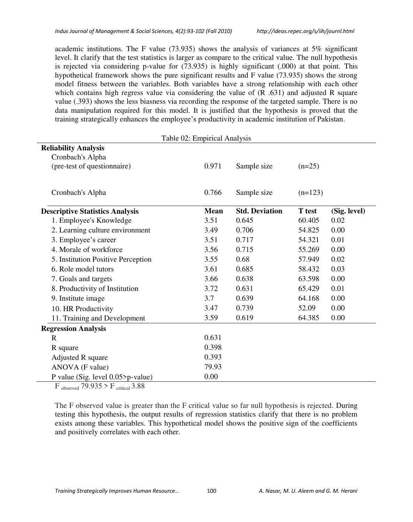academic institutions. The F value (73.935) shows the analysis of variances at 5% significant level. It clarify that the test statistics is larger as compare to the critical value. The null hypothesis is rejected via considering p-value for (73.935) is highly significant (.000) at that point. This hypothetical framework shows the pure significant results and F value (73.935) shows the strong model fitness between the variables. Both variables have a strong relationship with each other which contains high regress value via considering the value of  $(R.631)$  and adjusted R square value (.393) shows the less biasness via recording the response of the targeted sample. There is no data manipulation required for this model. It is justified that the hypothesis is proved that the training strategically enhances the employee's productivity in academic institution of Pakistan.

| Table 02: Empirical Analysis |                       |               |              |  |  |  |  |
|------------------------------|-----------------------|---------------|--------------|--|--|--|--|
|                              |                       |               |              |  |  |  |  |
|                              |                       |               |              |  |  |  |  |
| 0.971                        | Sample size           | $(n=25)$      |              |  |  |  |  |
|                              |                       |               |              |  |  |  |  |
|                              |                       |               |              |  |  |  |  |
|                              |                       |               |              |  |  |  |  |
| Mean                         | <b>Std. Deviation</b> | <b>T</b> test | (Sig. level) |  |  |  |  |
| 3.51                         | 0.645                 | 60.405        | 0.02         |  |  |  |  |
| 3.49                         | 0.706                 | 54.825        | 0.00         |  |  |  |  |
| 3.51                         | 0.717                 | 54.321        | 0.01         |  |  |  |  |
| 3.56                         | 0.715                 | 55.269        | 0.00         |  |  |  |  |
| 3.55                         | 0.68                  | 57.949        | 0.02         |  |  |  |  |
| 3.61                         | 0.685                 | 58.432        | 0.03         |  |  |  |  |
| 3.66                         | 0.638                 | 63.598        | 0.00         |  |  |  |  |
| 3.72                         | 0.631                 | 65.429        | 0.01         |  |  |  |  |
| 3.7                          | 0.639                 | 64.168        | 0.00         |  |  |  |  |
| 3.47                         | 0.739                 | 52.09         | 0.00         |  |  |  |  |
| 3.59                         | 0.619                 | 64.385        | 0.00         |  |  |  |  |
|                              |                       |               |              |  |  |  |  |
| 0.631                        |                       |               |              |  |  |  |  |
| 0.398                        |                       |               |              |  |  |  |  |
| 0.393                        |                       |               |              |  |  |  |  |
| 79.93                        |                       |               |              |  |  |  |  |
| 0.00                         |                       |               |              |  |  |  |  |
|                              | 0.766                 | Sample size   | $(n=123)$    |  |  |  |  |

 $F_{observed}$  79.935 >  $F_{critical}$  3.88

The F observed value is greater than the F critical value so far null hypothesis is rejected. During testing this hypothesis, the output results of regression statistics clarify that there is no problem exists among these variables. This hypothetical model shows the positive sign of the coefficients and positively correlates with each other.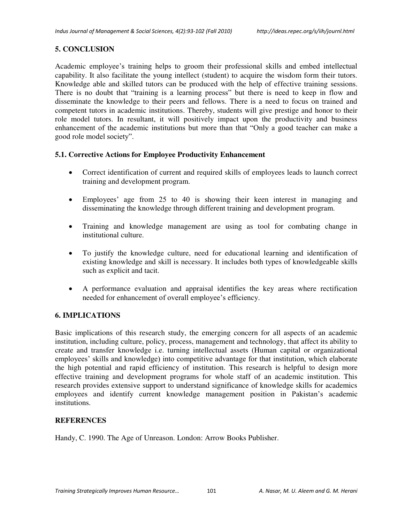# **5. CONCLUSION**

Academic employee's training helps to groom their professional skills and embed intellectual capability. It also facilitate the young intellect (student) to acquire the wisdom form their tutors. Knowledge able and skilled tutors can be produced with the help of effective training sessions. There is no doubt that "training is a learning process" but there is need to keep in flow and disseminate the knowledge to their peers and fellows. There is a need to focus on trained and competent tutors in academic institutions. Thereby, students will give prestige and honor to their role model tutors. In resultant, it will positively impact upon the productivity and business enhancement of the academic institutions but more than that "Only a good teacher can make a good role model society".

## **5.1. Corrective Actions for Employee Productivity Enhancement**

- Correct identification of current and required skills of employees leads to launch correct training and development program.
- Employees' age from 25 to 40 is showing their keen interest in managing and disseminating the knowledge through different training and development program.
- Training and knowledge management are using as tool for combating change in institutional culture.
- To justify the knowledge culture, need for educational learning and identification of existing knowledge and skill is necessary. It includes both types of knowledgeable skills such as explicit and tacit.
- A performance evaluation and appraisal identifies the key areas where rectification needed for enhancement of overall employee's efficiency.

## **6. IMPLICATIONS**

Basic implications of this research study, the emerging concern for all aspects of an academic institution, including culture, policy, process, management and technology, that affect its ability to create and transfer knowledge i.e. turning intellectual assets (Human capital or organizational employees' skills and knowledge) into competitive advantage for that institution, which elaborate the high potential and rapid efficiency of institution. This research is helpful to design more effective training and development programs for whole staff of an academic institution. This research provides extensive support to understand significance of knowledge skills for academics employees and identify current knowledge management position in Pakistan's academic institutions.

## **REFERENCES**

Handy, C. 1990. The Age of Unreason. London: Arrow Books Publisher.